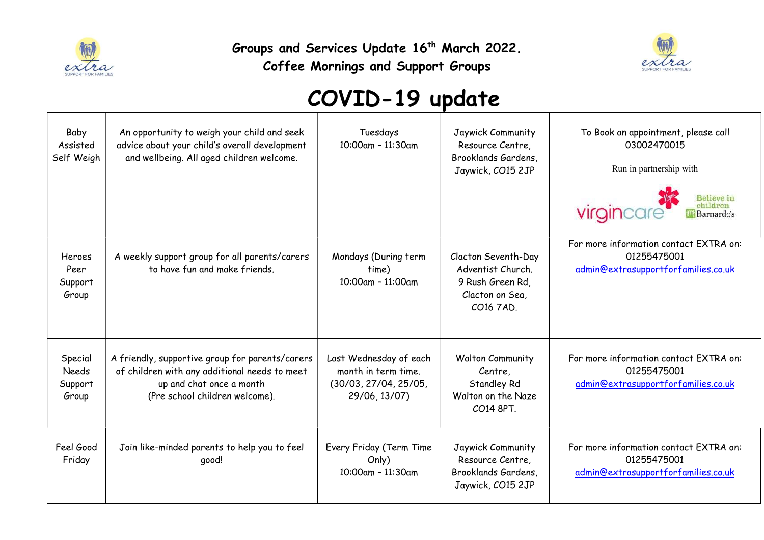

Groups and Services Update 16<sup>th</sup> March 2022.

Coffee Mornings and Support Groups



## COVID-19 update

| Baby<br>Assisted<br>Self Weigh              | An opportunity to weigh your child and seek<br>advice about your child's overall development<br>and wellbeing. All aged children welcome.                      | Tuesdays<br>10:00am - 11:30am                                                           | Jaywick Community<br>Resource Centre,<br>Brooklands Gardens,<br>Jaywick, CO15 2JP            | To Book an appointment, please call<br>03002470015<br>Run in partnership with<br>virgincare<br>childrer<br>Barnardo's |
|---------------------------------------------|----------------------------------------------------------------------------------------------------------------------------------------------------------------|-----------------------------------------------------------------------------------------|----------------------------------------------------------------------------------------------|-----------------------------------------------------------------------------------------------------------------------|
| Heroes<br>Peer<br>Support<br>Group          | A weekly support group for all parents/carers<br>to have fun and make friends.                                                                                 | Mondays (During term<br>time)<br>10:00am - 11:00am                                      | Clacton Seventh-Day<br>Adventist Church.<br>9 Rush Green Rd,<br>Clacton on Sea,<br>CO16 7AD. | For more information contact EXTRA on:<br>01255475001<br>admin@extrasupportforfamilies.co.uk                          |
| Special<br><b>Needs</b><br>Support<br>Group | A friendly, supportive group for parents/carers<br>of children with any additional needs to meet<br>up and chat once a month<br>(Pre school children welcome). | Last Wednesday of each<br>month in term time.<br>(30/03, 27/04, 25/05,<br>29/06, 13/07) | <b>Walton Community</b><br>Centre,<br>Standley Rd<br>Walton on the Naze<br>CO14 8PT.         | For more information contact EXTRA on:<br>01255475001<br>admin@extrasupportforfamilies.co.uk                          |
| Feel Good<br>Friday                         | Join like-minded parents to help you to feel<br>good!                                                                                                          | Every Friday (Term Time<br>Only)<br>10:00am - 11:30am                                   | Jaywick Community<br>Resource Centre,<br>Brooklands Gardens,<br>Jaywick, CO15 2JP            | For more information contact EXTRA on:<br>01255475001<br>admin@extrasupportforfamilies.co.uk                          |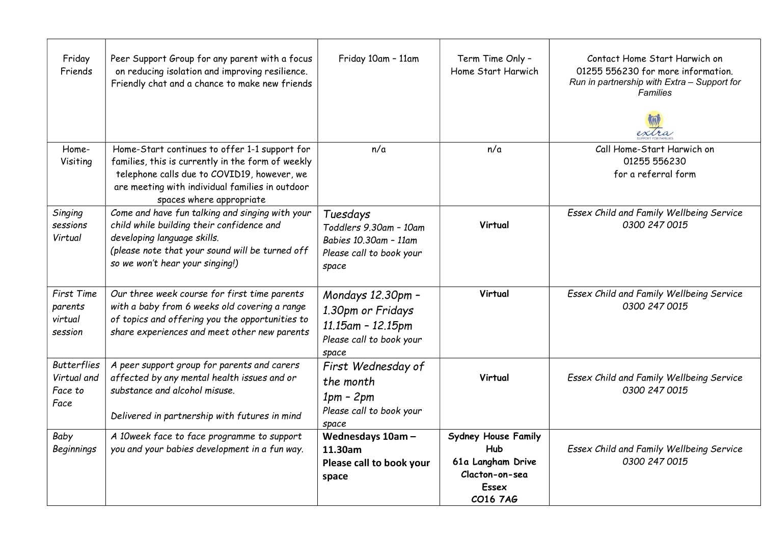| Friday<br>Friends                                    | Peer Support Group for any parent with a focus<br>on reducing isolation and improving resilience.<br>Friendly chat and a chance to make new friends                                                                              | Friday 10am - 11am                                                                               | Term Time Only -<br>Home Start Harwich                                                               | Contact Home Start Harwich on<br>01255 556230 for more information.<br>Run in partnership with Extra - Support for<br><b>Families</b> |
|------------------------------------------------------|----------------------------------------------------------------------------------------------------------------------------------------------------------------------------------------------------------------------------------|--------------------------------------------------------------------------------------------------|------------------------------------------------------------------------------------------------------|---------------------------------------------------------------------------------------------------------------------------------------|
| Home-<br>Visiting                                    | Home-Start continues to offer 1-1 support for<br>families, this is currently in the form of weekly<br>telephone calls due to COVID19, however, we<br>are meeting with individual families in outdoor<br>spaces where appropriate | n/a                                                                                              | n/a                                                                                                  | Call Home-Start Harwich on<br>01255 556230<br>for a referral form                                                                     |
| Singing<br>sessions<br>Virtual                       | Come and have fun talking and singing with your<br>child while building their confidence and<br>developing language skills.<br>(please note that your sound will be turned off<br>so we won't hear your singing!)                | Tuesdays<br>Toddlers 9.30am - 10am<br>Babies 10.30am - 11am<br>Please call to book your<br>space | Virtual                                                                                              | Essex Child and Family Wellbeing Service<br>0300 247 0015                                                                             |
| First Time<br>parents<br>virtual<br>session          | Our three week course for first time parents<br>with a baby from 6 weeks old covering a range<br>of topics and offering you the opportunities to<br>share experiences and meet other new parents                                 | Mondays 12.30pm -<br>1.30pm or Fridays<br>11.15am - 12.15pm<br>Please call to book your<br>space | Virtual                                                                                              | Essex Child and Family Wellbeing Service<br>0300 247 0015                                                                             |
| <b>Butterflies</b><br>Virtual and<br>Face to<br>Face | A peer support group for parents and carers<br>affected by any mental health issues and or<br>substance and alcohol misuse.<br>Delivered in partnership with futures in mind                                                     | First Wednesday of<br>the month<br>$1pm - 2pm$<br>Please call to book your<br>space              | Virtual                                                                                              | Essex Child and Family Wellbeing Service<br>0300 247 0015                                                                             |
| Baby<br><b>Beginnings</b>                            | A 10week face to face programme to support<br>you and your babies development in a fun way.                                                                                                                                      | Wednesdays 10am-<br>11.30am<br>Please call to book your<br>space                                 | <b>Sydney House Family</b><br><b>Hub</b><br>61a Langham Drive<br>Clacton-on-sea<br>Essex<br>CO16 7AG | Essex Child and Family Wellbeing Service<br>0300 247 0015                                                                             |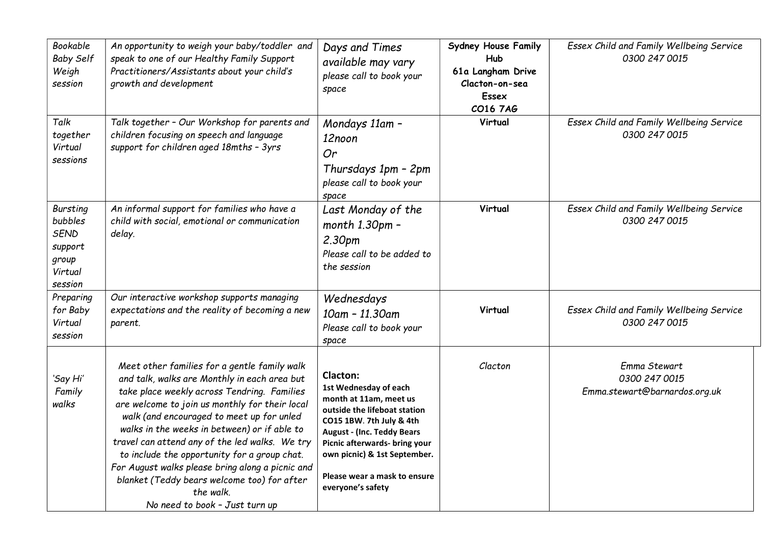| Bookable<br><b>Baby Self</b><br>Weigh<br>session                                    | An opportunity to weigh your baby/toddler and<br>speak to one of our Healthy Family Support<br>Practitioners/Assistants about your child's<br>growth and development                                                                                                                                                                                                                                                                                                                                                                           | Days and Times<br>available may vary<br>please call to book your<br>space                                                                                                                                                                                                          | <b>Sydney House Family</b><br>Hub<br>61a Langham Drive<br>Clacton-on-sea<br><b>Essex</b><br>CO16 7AG | Essex Child and Family Wellbeing Service<br>0300 247 0015      |
|-------------------------------------------------------------------------------------|------------------------------------------------------------------------------------------------------------------------------------------------------------------------------------------------------------------------------------------------------------------------------------------------------------------------------------------------------------------------------------------------------------------------------------------------------------------------------------------------------------------------------------------------|------------------------------------------------------------------------------------------------------------------------------------------------------------------------------------------------------------------------------------------------------------------------------------|------------------------------------------------------------------------------------------------------|----------------------------------------------------------------|
| Talk<br>together<br>Virtual<br>sessions                                             | Talk together - Our Workshop for parents and<br>children focusing on speech and language<br>support for children aged 18mths - 3yrs                                                                                                                                                                                                                                                                                                                                                                                                            | Mondays 11am -<br>12noon<br>Or<br>Thursdays 1pm - 2pm<br>please call to book your<br>space                                                                                                                                                                                         | Virtual                                                                                              | Essex Child and Family Wellbeing Service<br>0300 247 0015      |
| <b>Bursting</b><br>bubbles<br><b>SEND</b><br>support<br>group<br>Virtual<br>session | An informal support for families who have a<br>child with social, emotional or communication<br>delay.                                                                                                                                                                                                                                                                                                                                                                                                                                         | Last Monday of the<br>$month 1.30pm -$<br>2.30pm<br>Please call to be added to<br>the session                                                                                                                                                                                      | Virtual                                                                                              | Essex Child and Family Wellbeing Service<br>0300 247 0015      |
| Preparing<br>for Baby<br>Virtual<br>session                                         | Our interactive workshop supports managing<br>expectations and the reality of becoming a new<br>parent.                                                                                                                                                                                                                                                                                                                                                                                                                                        | Wednesdays<br>10am - 11.30am<br>Please call to book your<br>space                                                                                                                                                                                                                  | Virtual                                                                                              | Essex Child and Family Wellbeing Service<br>0300 247 0015      |
| 'Say Hi'<br>Family<br>walks                                                         | Meet other families for a gentle family walk<br>and talk, walks are Monthly in each area but<br>take place weekly across Tendring. Families<br>are welcome to join us monthly for their local<br>walk (and encouraged to meet up for unled<br>walks in the weeks in between) or if able to<br>travel can attend any of the led walks. We try<br>to include the opportunity for a group chat.<br>For August walks please bring along a picnic and<br>blanket (Teddy bears welcome too) for after<br>the walk.<br>No need to book - Just turn up | Clacton:<br>1st Wednesday of each<br>month at 11am, meet us<br>outside the lifeboat station<br>CO15 1BW. 7th July & 4th<br><b>August - (Inc. Teddy Bears</b><br>Picnic afterwards- bring your<br>own picnic) & 1st September.<br>Please wear a mask to ensure<br>everyone's safety | Clacton                                                                                              | Emma Stewart<br>0300 247 0015<br>Emma.stewart@barnardos.org.uk |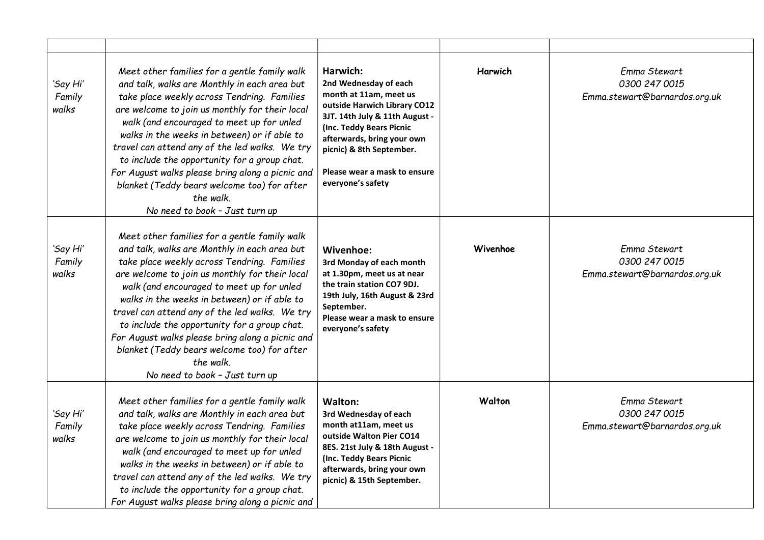| 'Say Hi'<br>Family<br>walks | Meet other families for a gentle family walk<br>and talk, walks are Monthly in each area but<br>take place weekly across Tendring. Families<br>are welcome to join us monthly for their local<br>walk (and encouraged to meet up for unled<br>walks in the weeks in between) or if able to<br>travel can attend any of the led walks. We try<br>to include the opportunity for a group chat.<br>For August walks please bring along a picnic and<br>blanket (Teddy bears welcome too) for after<br>the walk.<br>No need to book - Just turn up | Harwich:<br>2nd Wednesday of each<br>month at 11am, meet us<br>outside Harwich Library CO12<br>3JT. 14th July & 11th August -<br>(Inc. Teddy Bears Picnic<br>afterwards, bring your own<br>picnic) & 8th September.<br>Please wear a mask to ensure<br>everyone's safety | Harwich  | Emma Stewart<br>0300 247 0015<br>Emma.stewart@barnardos.org.uk |
|-----------------------------|------------------------------------------------------------------------------------------------------------------------------------------------------------------------------------------------------------------------------------------------------------------------------------------------------------------------------------------------------------------------------------------------------------------------------------------------------------------------------------------------------------------------------------------------|--------------------------------------------------------------------------------------------------------------------------------------------------------------------------------------------------------------------------------------------------------------------------|----------|----------------------------------------------------------------|
| 'Say Hi'<br>Family<br>walks | Meet other families for a gentle family walk<br>and talk, walks are Monthly in each area but<br>take place weekly across Tendring. Families<br>are welcome to join us monthly for their local<br>walk (and encouraged to meet up for unled<br>walks in the weeks in between) or if able to<br>travel can attend any of the led walks. We try<br>to include the opportunity for a group chat.<br>For August walks please bring along a picnic and<br>blanket (Teddy bears welcome too) for after<br>the walk.<br>No need to book - Just turn up | Wivenhoe:<br>3rd Monday of each month<br>at 1.30pm, meet us at near<br>the train station CO7 9DJ.<br>19th July, 16th August & 23rd<br>September.<br>Please wear a mask to ensure<br>everyone's safety                                                                    | Wivenhoe | Emma Stewart<br>0300 247 0015<br>Emma.stewart@barnardos.org.uk |
| 'Say Hi'<br>Family<br>walks | Meet other families for a gentle family walk<br>and talk, walks are Monthly in each area but<br>take place weekly across Tendring. Families<br>are welcome to join us monthly for their local<br>walk (and encouraged to meet up for unled<br>walks in the weeks in between) or if able to<br>travel can attend any of the led walks. We try<br>to include the opportunity for a group chat.<br>For August walks please bring along a picnic and                                                                                               | <b>Walton:</b><br>3rd Wednesday of each<br>month at11am, meet us<br>outside Walton Pier CO14<br>8ES. 21st July & 18th August -<br>(Inc. Teddy Bears Picnic<br>afterwards, bring your own<br>picnic) & 15th September.                                                    | Walton   | Emma Stewart<br>0300 247 0015<br>Emma.stewart@barnardos.org.uk |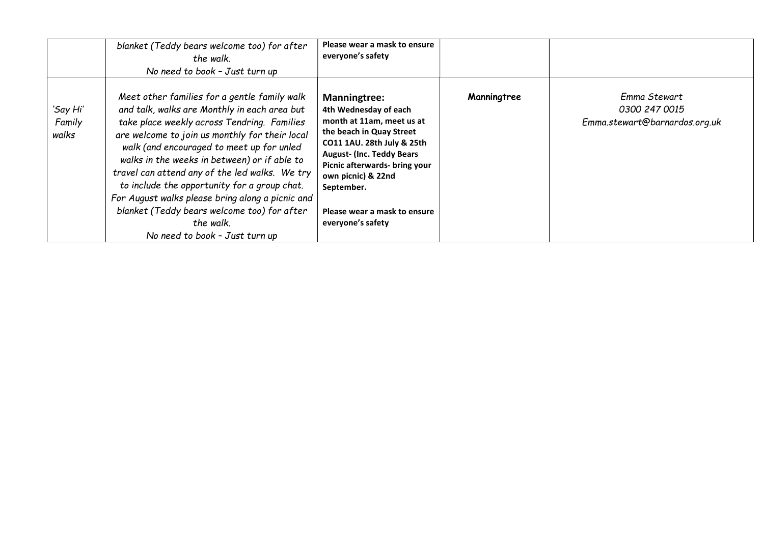|                             | blanket (Teddy bears welcome too) for after<br>the walk.<br>No need to book - Just turn up                                                                                                                                                                                                                                                                                                                                                                                                                                                     | Please wear a mask to ensure<br>everyone's safety                                                                                                                                                                                                                                                  |             |                                                                |
|-----------------------------|------------------------------------------------------------------------------------------------------------------------------------------------------------------------------------------------------------------------------------------------------------------------------------------------------------------------------------------------------------------------------------------------------------------------------------------------------------------------------------------------------------------------------------------------|----------------------------------------------------------------------------------------------------------------------------------------------------------------------------------------------------------------------------------------------------------------------------------------------------|-------------|----------------------------------------------------------------|
| 'Say Hi'<br>Family<br>walks | Meet other families for a gentle family walk<br>and talk, walks are Monthly in each area but<br>take place weekly across Tendring. Families<br>are welcome to join us monthly for their local<br>walk (and encouraged to meet up for unled<br>walks in the weeks in between) or if able to<br>travel can attend any of the led walks. We try<br>to include the opportunity for a group chat.<br>For August walks please bring along a picnic and<br>blanket (Teddy bears welcome too) for after<br>the walk.<br>No need to book - Just turn up | <b>Manningtree:</b><br>4th Wednesday of each<br>month at 11am, meet us at<br>the beach in Quay Street<br>CO11 1AU. 28th July & 25th<br><b>August- (Inc. Teddy Bears)</b><br>Picnic afterwards- bring your<br>own picnic) & 22nd<br>September.<br>Please wear a mask to ensure<br>everyone's safety | Manningtree | Emma Stewart<br>0300 247 0015<br>Emma.stewart@barnardos.org.uk |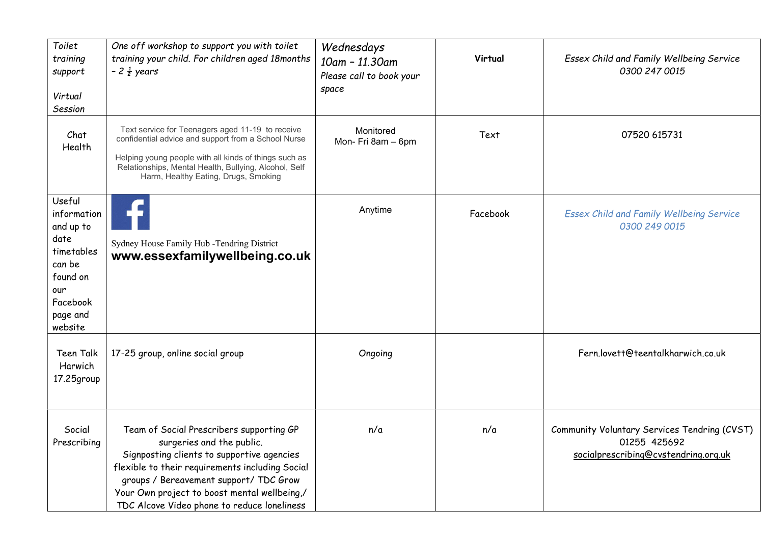| Toilet<br>training<br>support<br>Virtual<br>Session                                                                      | One off workshop to support you with toilet<br>training your child. For children aged 18months<br>$-2\frac{1}{2}$ years                                                                                                                                                                                         | Wednesdays<br>10am - 11.30am<br>Please call to book your<br>space | Virtual  | Essex Child and Family Wellbeing Service<br>0300 247 0015                                            |
|--------------------------------------------------------------------------------------------------------------------------|-----------------------------------------------------------------------------------------------------------------------------------------------------------------------------------------------------------------------------------------------------------------------------------------------------------------|-------------------------------------------------------------------|----------|------------------------------------------------------------------------------------------------------|
| Chat<br>Health                                                                                                           | Text service for Teenagers aged 11-19 to receive<br>confidential advice and support from a School Nurse<br>Helping young people with all kinds of things such as<br>Relationships, Mental Health, Bullying, Alcohol, Self<br>Harm, Healthy Eating, Drugs, Smoking                                               | Monitored<br>Mon- Fri 8am - 6pm                                   | Text     | 07520 615731                                                                                         |
| Useful<br>information<br>and up to<br>date<br>timetables<br>can be<br>found on<br>our<br>Facebook<br>page and<br>website | Sydney House Family Hub -Tendring District<br>www.essexfamilywellbeing.co.uk                                                                                                                                                                                                                                    | Anytime                                                           | Facebook | <b>Essex Child and Family Wellbeing Service</b><br>0300 249 0015                                     |
| Teen Talk<br>Harwich<br>17.25group                                                                                       | 17-25 group, online social group                                                                                                                                                                                                                                                                                | Ongoing                                                           |          | Fern.lovett@teentalkharwich.co.uk                                                                    |
| Social<br>Prescribing                                                                                                    | Team of Social Prescribers supporting GP<br>surgeries and the public.<br>Signposting clients to supportive agencies<br>flexible to their requirements including Social<br>groups / Bereavement support/ TDC Grow<br>Your Own project to boost mental wellbeing,/<br>TDC Alcove Video phone to reduce loneliness | n/a                                                               | n/a      | Community Voluntary Services Tendring (CVST)<br>01255 425692<br>socialprescribing@cvstendring.org.uk |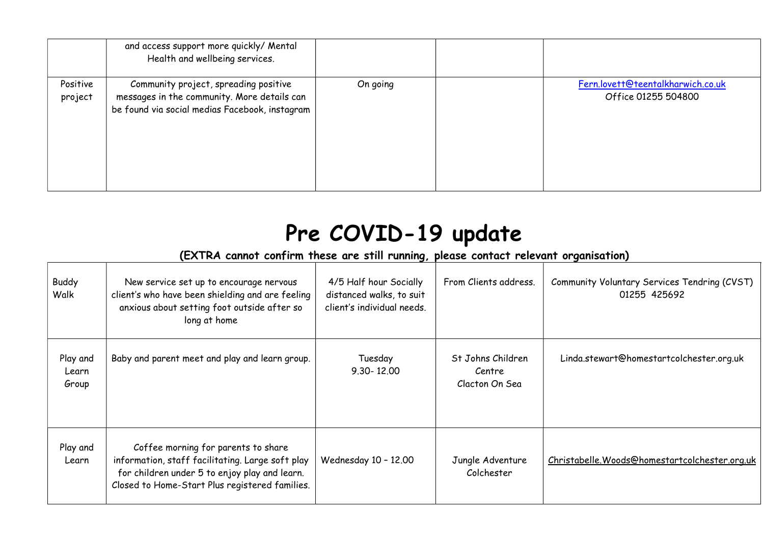|                     | and access support more quickly/ Mental<br>Health and wellbeing services.                                                              |          |                                                          |
|---------------------|----------------------------------------------------------------------------------------------------------------------------------------|----------|----------------------------------------------------------|
| Positive<br>project | Community project, spreading positive<br>messages in the community. More details can<br>be found via social medias Facebook, instagram | On going | Fern.lovett@teentalkharwich.co.uk<br>Office 01255 504800 |

## Pre COVID-19 update

## (EXTRA cannot confirm these are still running, please contact relevant organisation)

| <b>Buddy</b><br>Walk       | New service set up to encourage nervous<br>client's who have been shielding and are feeling<br>anxious about setting foot outside after so<br>long at home                                 | 4/5 Half hour Socially<br>distanced walks, to suit<br>client's individual needs. | From Clients address.                         | Community Voluntary Services Tendring (CVST)<br>01255 425692 |
|----------------------------|--------------------------------------------------------------------------------------------------------------------------------------------------------------------------------------------|----------------------------------------------------------------------------------|-----------------------------------------------|--------------------------------------------------------------|
| Play and<br>Learn<br>Group | Baby and parent meet and play and learn group.                                                                                                                                             | Tuesday<br>$9.30 - 12.00$                                                        | St Johns Children<br>Centre<br>Clacton On Sea | Linda.stewart@homestartcolchester.org.uk                     |
| Play and<br>Learn          | Coffee morning for parents to share<br>information, staff facilitating. Large soft play<br>for children under 5 to enjoy play and learn.<br>Closed to Home-Start Plus registered families. | Wednesday 10 - 12.00                                                             | Jungle Adventure<br>Colchester                | Christabelle. Woods@homestartcolchester.org.uk               |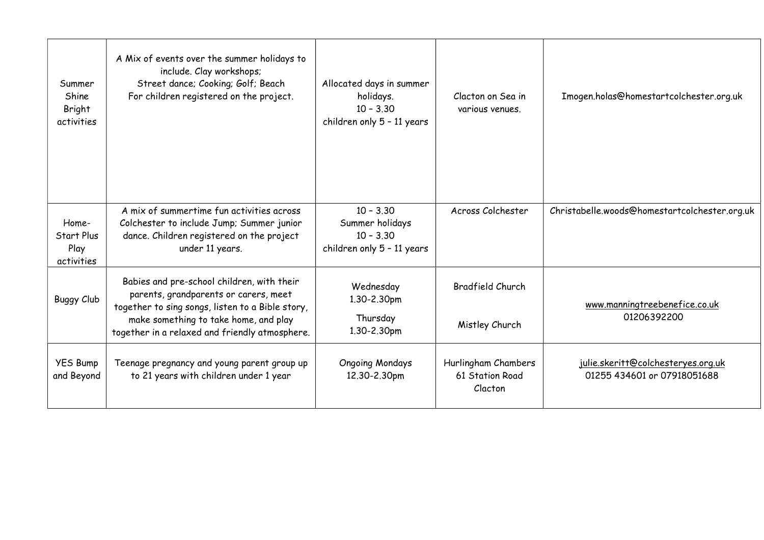| Summer<br>Shine<br>Bright<br>activities   | A Mix of events over the summer holidays to<br>include. Clay workshops;<br>Street dance; Cooking; Golf; Beach<br>For children registered on the project.                                                                           | Allocated days in summer<br>holidays.<br>$10 - 3.30$<br>children only 5 - 11 years | Clacton on Sea in<br>various venues.              | Imogen.holas@homestartcolchester.org.uk                           |
|-------------------------------------------|------------------------------------------------------------------------------------------------------------------------------------------------------------------------------------------------------------------------------------|------------------------------------------------------------------------------------|---------------------------------------------------|-------------------------------------------------------------------|
| Home-<br>Start Plus<br>Play<br>activities | A mix of summertime fun activities across<br>Colchester to include Jump; Summer junior<br>dance. Children registered on the project<br>under 11 years.                                                                             | $10 - 3.30$<br>Summer holidays<br>$10 - 3.30$<br>children only 5 - 11 years        | Across Colchester                                 | Christabelle.woods@homestartcolchester.org.uk                     |
| <b>Buggy Club</b>                         | Babies and pre-school children, with their<br>parents, grandparents or carers, meet<br>together to sing songs, listen to a Bible story,<br>make something to take home, and play<br>together in a relaxed and friendly atmosphere. | Wednesday<br>1.30-2.30pm<br>Thursday<br>1.30-2.30pm                                | <b>Bradfield Church</b><br>Mistley Church         | www.manningtreebenefice.co.uk<br>01206392200                      |
| <b>YES Bump</b><br>and Beyond             | Teenage pregnancy and young parent group up<br>to 21 years with children under 1 year                                                                                                                                              | <b>Ongoing Mondays</b><br>12.30-2.30pm                                             | Hurlingham Chambers<br>61 Station Road<br>Clacton | julie.skeritt@colchesteryes.org.uk<br>01255 434601 or 07918051688 |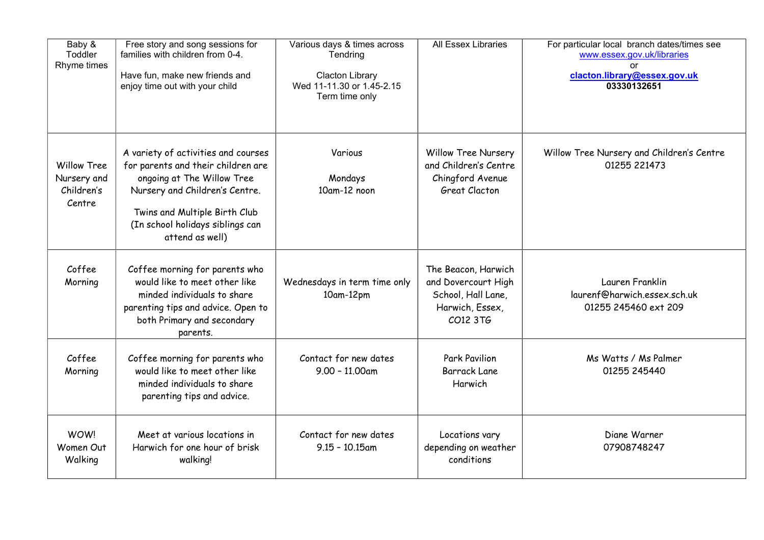| Baby &<br>Toddler<br>Rhyme times                          | Free story and song sessions for<br>families with children from 0-4.<br>Have fun, make new friends and<br>enjoy time out with your child                                                                                          | Various days & times across<br>Tendring<br><b>Clacton Library</b><br>Wed 11-11.30 or 1.45-2.15<br>Term time only | <b>All Essex Libraries</b>                                                                      | For particular local branch dates/times see<br>www.essex.gov.uk/libraries<br><sub>or</sub><br>clacton.library@essex.gov.uk<br>03330132651 |
|-----------------------------------------------------------|-----------------------------------------------------------------------------------------------------------------------------------------------------------------------------------------------------------------------------------|------------------------------------------------------------------------------------------------------------------|-------------------------------------------------------------------------------------------------|-------------------------------------------------------------------------------------------------------------------------------------------|
| <b>Willow Tree</b><br>Nursery and<br>Children's<br>Centre | A variety of activities and courses<br>for parents and their children are<br>ongoing at The Willow Tree<br>Nursery and Children's Centre.<br>Twins and Multiple Birth Club<br>(In school holidays siblings can<br>attend as well) | Various<br>Mondays<br>10am-12 noon                                                                               | <b>Willow Tree Nursery</b><br>and Children's Centre<br>Chingford Avenue<br><b>Great Clacton</b> | Willow Tree Nursery and Children's Centre<br>01255 221473                                                                                 |
| Coffee<br>Morning                                         | Coffee morning for parents who<br>would like to meet other like<br>minded individuals to share<br>parenting tips and advice. Open to<br>both Primary and secondary<br>parents.                                                    | Wednesdays in term time only<br>10am-12pm                                                                        | The Beacon, Harwich<br>and Dovercourt High<br>School, Hall Lane,<br>Harwich, Essex,<br>CO12 3TG | Lauren Franklin<br>laurenf@harwich.essex.sch.uk<br>01255 245460 ext 209                                                                   |
| Coffee<br>Morning                                         | Coffee morning for parents who<br>would like to meet other like<br>minded individuals to share<br>parenting tips and advice.                                                                                                      | Contact for new dates<br>$9.00 - 11.00$ am                                                                       | <b>Park Pavilion</b><br><b>Barrack Lane</b><br>Harwich                                          | Ms Watts / Ms Palmer<br>01255 245440                                                                                                      |
| WOW!<br>Women Out<br>Walking                              | Meet at various locations in<br>Harwich for one hour of brisk<br>walking!                                                                                                                                                         | Contact for new dates<br>$9.15 - 10.15$ am                                                                       | Locations vary<br>depending on weather<br>conditions                                            | Diane Warner<br>07908748247                                                                                                               |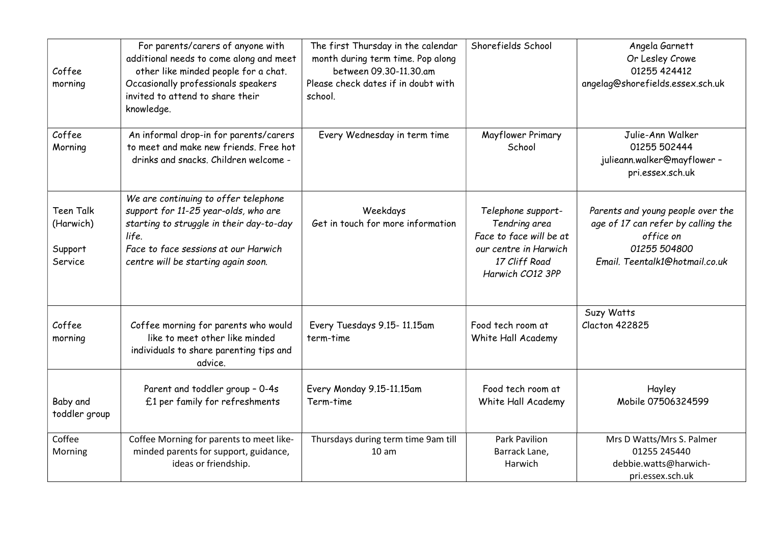| Coffee<br>morning                                   | For parents/carers of anyone with<br>additional needs to come along and meet<br>other like minded people for a chat.<br>Occasionally professionals speakers<br>invited to attend to share their<br>knowledge.    | The first Thursday in the calendar<br>month during term time. Pop along<br>between 09.30-11.30.am<br>Please check dates if in doubt with<br>school. | Shorefields School                                                                                                           | Angela Garnett<br>Or Lesley Crowe<br>01255 424412<br>angelag@shorefields.essex.sch.uk                                                  |
|-----------------------------------------------------|------------------------------------------------------------------------------------------------------------------------------------------------------------------------------------------------------------------|-----------------------------------------------------------------------------------------------------------------------------------------------------|------------------------------------------------------------------------------------------------------------------------------|----------------------------------------------------------------------------------------------------------------------------------------|
| Coffee<br>Morning                                   | An informal drop-in for parents/carers<br>to meet and make new friends. Free hot<br>drinks and snacks. Children welcome -                                                                                        | Every Wednesday in term time                                                                                                                        | Mayflower Primary<br>School                                                                                                  | Julie-Ann Walker<br>01255 502444<br>julieann.walker@mayflower -<br>pri.essex.sch.uk                                                    |
| <b>Teen Talk</b><br>(Harwich)<br>Support<br>Service | We are continuing to offer telephone<br>support for 11-25 year-olds, who are<br>starting to struggle in their day-to-day<br>life.<br>Face to face sessions at our Harwich<br>centre will be starting again soon. | Weekdays<br>Get in touch for more information                                                                                                       | Telephone support-<br>Tendring area<br>Face to face will be at<br>our centre in Harwich<br>17 Cliff Road<br>Harwich CO12 3PP | Parents and young people over the<br>age of 17 can refer by calling the<br>office on<br>01255 504800<br>Email. Teentalk1@hotmail.co.uk |
| Coffee<br>morning                                   | Coffee morning for parents who would<br>like to meet other like minded<br>individuals to share parenting tips and<br>advice.                                                                                     | Every Tuesdays 9.15-11.15am<br>term-time                                                                                                            | Food tech room at<br>White Hall Academy                                                                                      | Suzy Watts<br><b>Clacton 422825</b>                                                                                                    |
| Baby and<br>toddler group                           | Parent and toddler group - 0-4s<br>£1 per family for refreshments                                                                                                                                                | Every Monday 9.15-11.15am<br>Term-time                                                                                                              | Food tech room at<br>White Hall Academy                                                                                      | Hayley<br>Mobile 07506324599                                                                                                           |
| Coffee<br>Morning                                   | Coffee Morning for parents to meet like-<br>minded parents for support, guidance,<br>ideas or friendship.                                                                                                        | Thursdays during term time 9am till<br>10 <sub>am</sub>                                                                                             | <b>Park Pavilion</b><br>Barrack Lane,<br>Harwich                                                                             | Mrs D Watts/Mrs S. Palmer<br>01255 245440<br>debbie.watts@harwich-<br>pri.essex.sch.uk                                                 |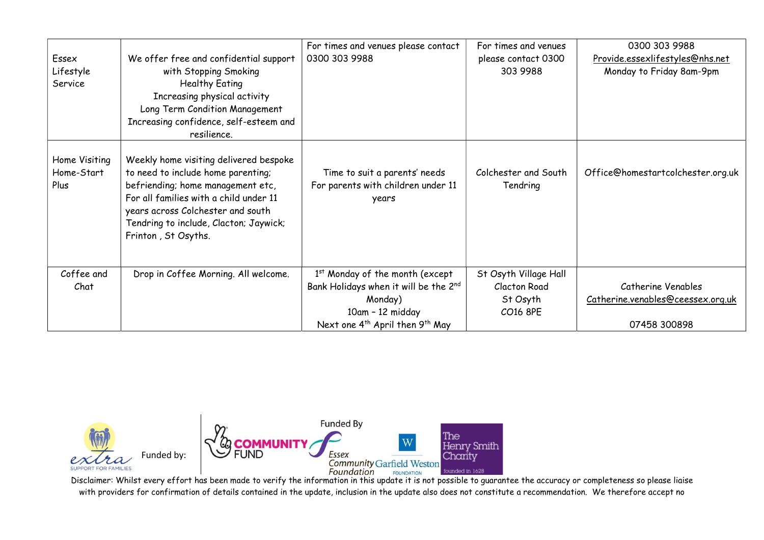| Essex<br>Lifestyle<br>Service       | We offer free and confidential support<br>with Stopping Smoking<br><b>Healthy Eating</b><br>Increasing physical activity<br>Long Term Condition Management<br>Increasing confidence, self-esteem and<br>resilience.                                               | For times and venues please contact<br>0300 303 9988                                 | For times and venues<br>please contact 0300<br>303 9988 | 0300 303 9988<br>Provide.essexlifestyles@nhs.net<br>Monday to Friday 8am-9pm |
|-------------------------------------|-------------------------------------------------------------------------------------------------------------------------------------------------------------------------------------------------------------------------------------------------------------------|--------------------------------------------------------------------------------------|---------------------------------------------------------|------------------------------------------------------------------------------|
| Home Visiting<br>Home-Start<br>Plus | Weekly home visiting delivered bespoke<br>to need to include home parenting;<br>befriending; home management etc,<br>For all families with a child under 11<br>years across Colchester and south<br>Tendring to include, Clacton; Jaywick;<br>Frinton, St Osyths. | Time to suit a parents' needs<br>For parents with children under 11<br>years         | Colchester and South<br>Tendring                        | Office@homestartcolchester.org.uk                                            |
| Coffee and<br>Chat                  | Drop in Coffee Morning. All welcome.                                                                                                                                                                                                                              | 1 <sup>st</sup> Monday of the month (except<br>Bank Holidays when it will be the 2nd | St Osyth Village Hall<br><b>Clacton Road</b>            | Catherine Venables                                                           |
|                                     |                                                                                                                                                                                                                                                                   | Monday)                                                                              | St Osyth                                                | Catherine.venables@ceessex.org.uk                                            |
|                                     |                                                                                                                                                                                                                                                                   | 10am - 12 midday                                                                     | CO16 8PE                                                |                                                                              |
|                                     |                                                                                                                                                                                                                                                                   | Next one 4 <sup>th</sup> April then 9 <sup>th</sup> May                              |                                                         | 07458 300898                                                                 |



Disclaimer: Whilst every effort has been made to verify the information in this update it is not possible to guarantee the accuracy or completeness so please liaise with providers for confirmation of details contained in the update, inclusion in the update also does not constitute a recommendation. We therefore accept no